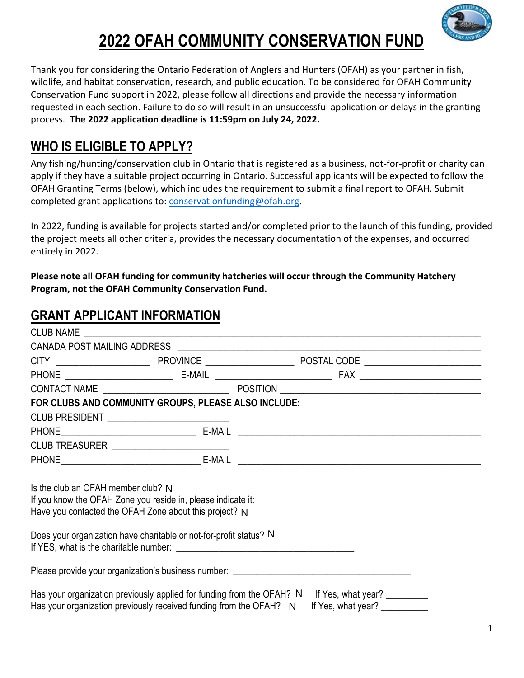

Thank you for considering the Ontario Federation of Anglers and Hunters (OFAH) as your partner in fish, wildlife, and habitat conservation, research, and public education. To be considered for OFAH Community Conservation Fund support in 2022, please follow all directions and provide the necessary information requested in each section. Failure to do so will result in an unsuccessful application or delays in the granting process. **The 2022 application deadline is 11:59pm on July 24, 2022.**

## **WHO IS ELIGIBLE TO APPLY?**

Any fishing/hunting/conservation club in Ontario that is registered as a business, not‐for‐profit or charity can apply if they have a suitable project occurring in Ontario. Successful applicants will be expected to follow the OFAH Granting Terms (below), which includes the requirement to submit a final report to OFAH. Submit completed grant applications to: conservationfunding@ofah.org.

In 2022, funding is available for projects started and/or completed prior to the launch of this funding, provided the project meets all other criteria, provides the necessary documentation of the expenses, and occurred entirely in 2022.

**Please note all OFAH funding for community hatcheries will occur through the Community Hatchery Program, not the OFAH Community Conservation Fund.**

## **GRANT APPLICANT INFORMATION**

|                                    | FOR CLUBS AND COMMUNITY GROUPS, PLEASE ALSO INCLUDE:<br>CLUB PRESIDENT ___________________________                                  |                                                                                                                           |
|------------------------------------|-------------------------------------------------------------------------------------------------------------------------------------|---------------------------------------------------------------------------------------------------------------------------|
|                                    |                                                                                                                                     |                                                                                                                           |
|                                    | CLUB TREASURER _________________________                                                                                            |                                                                                                                           |
|                                    |                                                                                                                                     |                                                                                                                           |
| Is the club an OFAH member club? N | If you know the OFAH Zone you reside in, please indicate it: ____________<br>Have you contacted the OFAH Zone about this project? N |                                                                                                                           |
|                                    | Does your organization have charitable or not-for-profit status? N                                                                  | If YES, what is the charitable number:                                                                                    |
|                                    |                                                                                                                                     | Please provide your organization's business number: Lease and the control of the control of the control of the            |
|                                    | Has your organization previously received funding from the OFAH? N                                                                  | Has your organization previously applied for funding from the OFAH? N If Yes, what year?<br>If Yes, what year? __________ |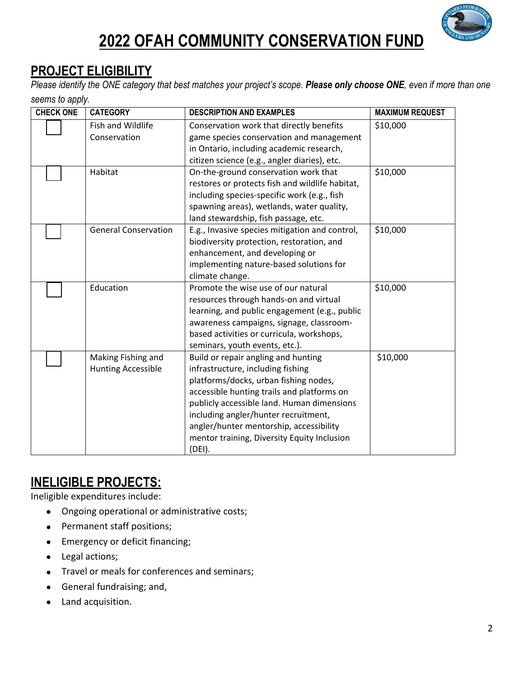

## **PROJECT ELIGIBILITY**

*Please identify the ONE category that best matches your project's scope. Please only choose ONE, even if more than one seems to apply.* 

| <b>CHECK ONE</b> | <b>CATEGORY</b>             | <b>DESCRIPTION AND EXAMPLES</b>                 | <b>MAXIMUM REQUEST</b> |
|------------------|-----------------------------|-------------------------------------------------|------------------------|
|                  | Fish and Wildlife           | Conservation work that directly benefits        | \$10,000               |
|                  | Conservation                | game species conservation and management        |                        |
|                  |                             | in Ontario, including academic research,        |                        |
|                  |                             | citizen science (e.g., angler diaries), etc.    |                        |
|                  | Habitat                     | On-the-ground conservation work that            | \$10,000               |
|                  |                             | restores or protects fish and wildlife habitat, |                        |
|                  |                             | including species-specific work (e.g., fish     |                        |
|                  |                             | spawning areas), wetlands, water quality,       |                        |
|                  |                             | land stewardship, fish passage, etc.            |                        |
|                  | <b>General Conservation</b> | E.g., Invasive species mitigation and control,  | \$10,000               |
|                  |                             | biodiversity protection, restoration, and       |                        |
|                  |                             | enhancement, and developing or                  |                        |
|                  |                             | implementing nature-based solutions for         |                        |
|                  |                             | climate change.                                 |                        |
|                  | Education                   | Promote the wise use of our natural             | \$10,000               |
|                  |                             | resources through hands-on and virtual          |                        |
|                  |                             | learning, and public engagement (e.g., public   |                        |
|                  |                             | awareness campaigns, signage, classroom-        |                        |
|                  |                             | based activities or curricula, workshops,       |                        |
|                  |                             | seminars, youth events, etc.).                  |                        |
|                  | Making Fishing and          | Build or repair angling and hunting             | \$10,000               |
|                  | <b>Hunting Accessible</b>   | infrastructure, including fishing               |                        |
|                  |                             | platforms/docks, urban fishing nodes,           |                        |
|                  |                             | accessible hunting trails and platforms on      |                        |
|                  |                             | publicly accessible land. Human dimensions      |                        |
|                  |                             | including angler/hunter recruitment,            |                        |
|                  |                             | angler/hunter mentorship, accessibility         |                        |
|                  |                             | mentor training, Diversity Equity Inclusion     |                        |
|                  |                             | (DEI).                                          |                        |

### **INELIGIBLE PROJECTS:**

Ineligible expenditures include:

- Ongoing operational or administrative costs;
- Permanent staff positions;
- **Emergency or deficit financing;**
- Legal actions;
- Travel or meals for conferences and seminars;
- General fundraising; and,
- Land acquisition.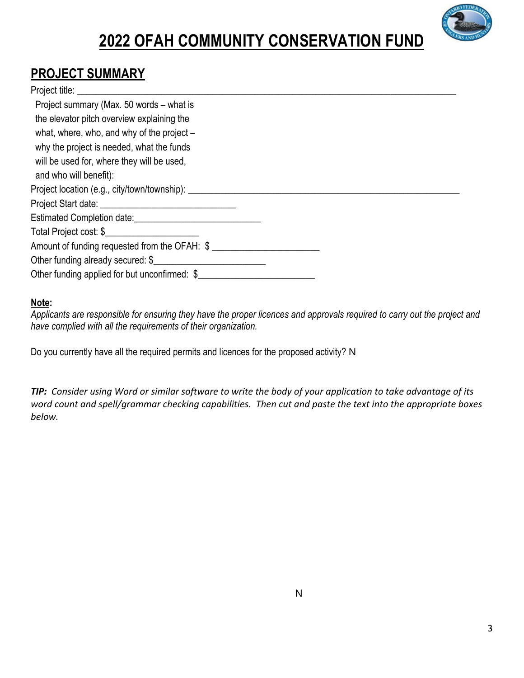

### **PROJECT SUMMARY**

#### Project title: \_\_\_\_\_\_\_\_\_\_\_\_\_\_\_\_\_\_\_\_\_\_\_\_\_\_\_\_\_\_\_\_\_\_\_\_\_\_\_\_\_\_\_\_\_\_\_\_\_\_\_\_\_\_\_\_\_\_\_\_\_\_\_\_\_\_\_\_\_\_\_\_\_\_\_\_\_\_\_\_\_

| Project summary (Max. 50 words – what is                                         |  |
|----------------------------------------------------------------------------------|--|
| the elevator pitch overview explaining the                                       |  |
| what, where, who, and why of the project -                                       |  |
| why the project is needed, what the funds                                        |  |
| will be used for, where they will be used,                                       |  |
| and who will benefit):                                                           |  |
| Project location (e.g., city/town/township): ___________________________________ |  |
|                                                                                  |  |
|                                                                                  |  |
| Total Project cost: \$                                                           |  |
| Amount of funding requested from the OFAH: \$                                    |  |
| Other funding already secured: \$                                                |  |
| Other funding applied for but unconfirmed: \$                                    |  |

#### **Note:**

*Applicants are responsible for ensuring they have the proper licences and approvals required to carry out the project and have complied with all the requirements of their organization.* 

Do you currently have all the required permits and licences for the proposed activity? N

TIP: Consider using Word or similar software to write the body of your application to take advantage of its word count and spell/grammar checking capabilities. Then cut and paste the text into the appropriate boxes *below.*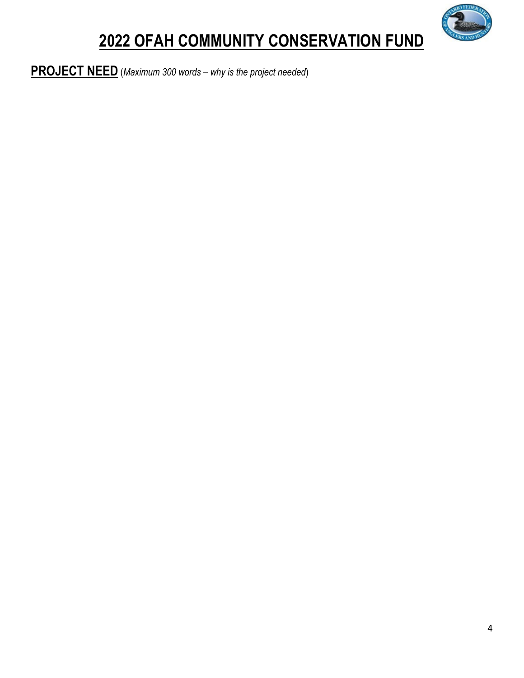

**PROJECT NEED** (*Maximum 300 words – why is the project needed*)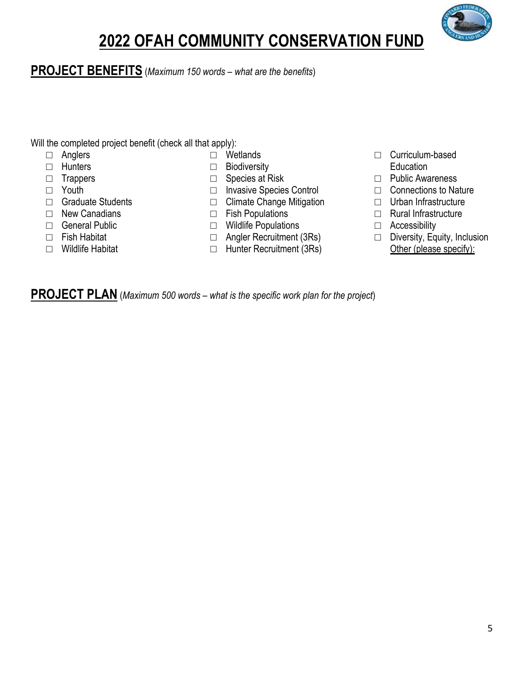

#### **PROJECT BENEFITS** (*Maximum 150 words – what are the benefits*)

Will the completed project benefit (check all that apply):

- □ Anglers
- □ Hunters
- □ Trappers
- □ Youth
- □ Graduate Students
- □ New Canadians
- □ General Public
- □ Fish Habitat
- □ Wildlife Habitat
- □ Wetlands
- □ Biodiversity
- □ Species at Risk
- □ Invasive Species Control
- □ Climate Change Mitigation
- 
- □ Fish Populations
- □ Wildlife Populations
- □ Angler Recruitment (3Rs)
- □ Hunter Recruitment (3Rs)
- □ Curriculum-based Education
- □ Public Awareness
- □ Connections to Nature
- □ Urban Infrastructure
- □ Rural Infrastructure
- □ Accessibility
- □ Diversity, Equity, Inclusion Other (please specify):

**PROJECT PLAN** (*Maximum 500 words – what is the specific work plan for the project*)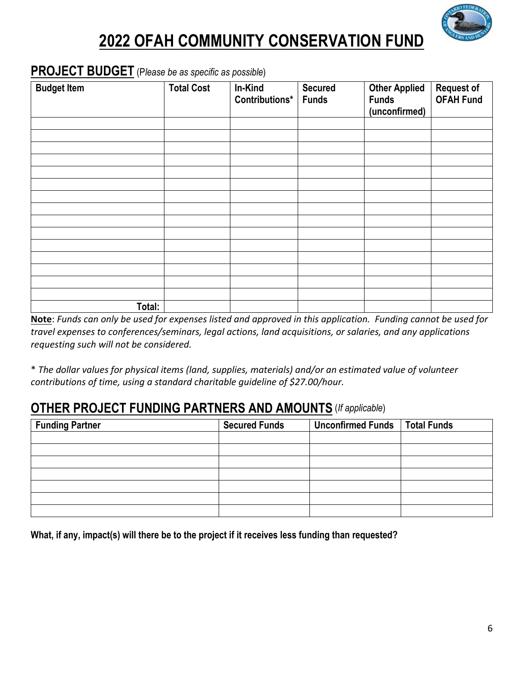

#### **PROJECT BUDGET** (P*lease be as specific as possible*)

| <b>Budget Item</b> | <b>Total Cost</b> | In-Kind<br>Contributions*   Funds | <b>Secured</b> | <b>Other Applied</b><br><b>Funds</b><br>(unconfirmed) | Request of<br>OFAH Fund |
|--------------------|-------------------|-----------------------------------|----------------|-------------------------------------------------------|-------------------------|
|                    |                   |                                   |                |                                                       |                         |
|                    |                   |                                   |                |                                                       |                         |
|                    |                   |                                   |                |                                                       |                         |
|                    |                   |                                   |                |                                                       |                         |
|                    |                   |                                   |                |                                                       |                         |
|                    |                   |                                   |                |                                                       |                         |
|                    |                   |                                   |                |                                                       |                         |
|                    |                   |                                   |                |                                                       |                         |
|                    |                   |                                   |                |                                                       |                         |
|                    |                   |                                   |                |                                                       |                         |
|                    |                   |                                   |                |                                                       |                         |
|                    |                   |                                   |                |                                                       |                         |
|                    |                   |                                   |                |                                                       |                         |
|                    |                   |                                   |                |                                                       |                         |
|                    |                   |                                   |                |                                                       |                         |
| Total:             |                   |                                   |                |                                                       |                         |

Note: Funds can only be used for expenses listed and approved in this application. Funding cannot be used for *travel expenses to conferences/seminars, legal actions, land acquisitions, or salaries, and any applications requesting such will not be considered.*

\* *The dollar values for physical items (land, supplies, materials) and/or an estimated value of volunteer contributions of time, using a standard charitable guideline of \$27.00/hour.*

#### **OTHER PROJECT FUNDING PARTNERS AND AMOUNTS** (*If applicable*)

| <b>Funding Partner</b> | <b>Secured Funds</b> | <b>Unconfirmed Funds</b> | <b>Total Funds</b> |
|------------------------|----------------------|--------------------------|--------------------|
|                        |                      |                          |                    |
|                        |                      |                          |                    |
|                        |                      |                          |                    |
|                        |                      |                          |                    |
|                        |                      |                          |                    |
|                        |                      |                          |                    |
|                        |                      |                          |                    |

**What, if any, impact(s) will there be to the project if it receives less funding than requested?**